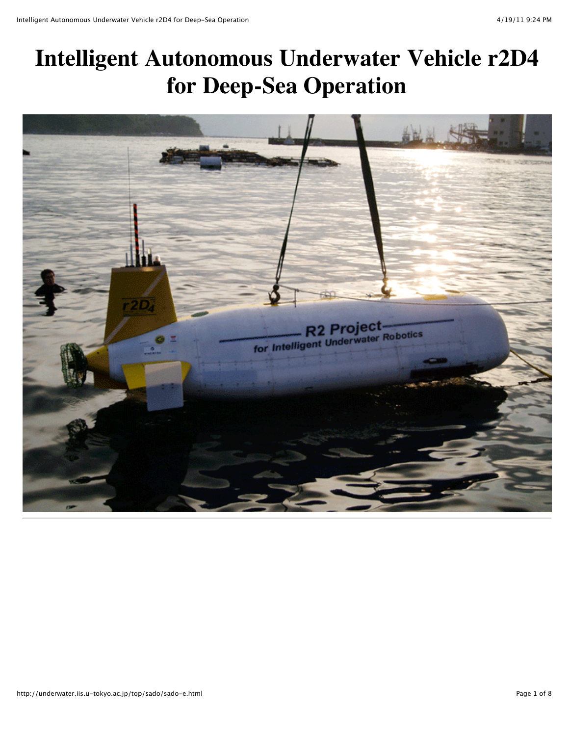# **Intelligent Autonomous Underwater Vehicle r2D4 for Deep-Sea Operation**

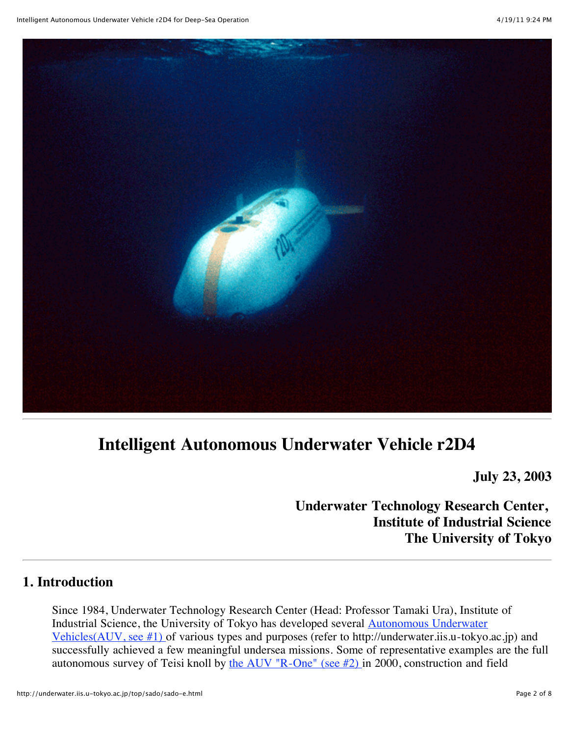

## **Intelligent Autonomous Underwater Vehicle r2D4**

**July 23, 2003**

## **Underwater Technology Research Center, Institute of Industrial Science The University of Tokyo**

#### **1. Introduction**

Since 1984, Underwater Technology Research Center (Head: Professor Tamaki Ura), Institute of [Industrial Science, the University of Tokyo has developed several Autonomous Underwater](http://underwater.iis.u-tokyo.ac.jp/top/sado/sado-e.html#ch1) Vehicles(AUV, see #1) of various types and purposes (refer to http://underwater.iis.u-tokyo.ac.jp) and successfully achieved a few meaningful undersea missions. Some of representative examples are the full autonomous survey of Teisi knoll by the AUV "R-One" (see  $#2$ ) in 2000, construction and field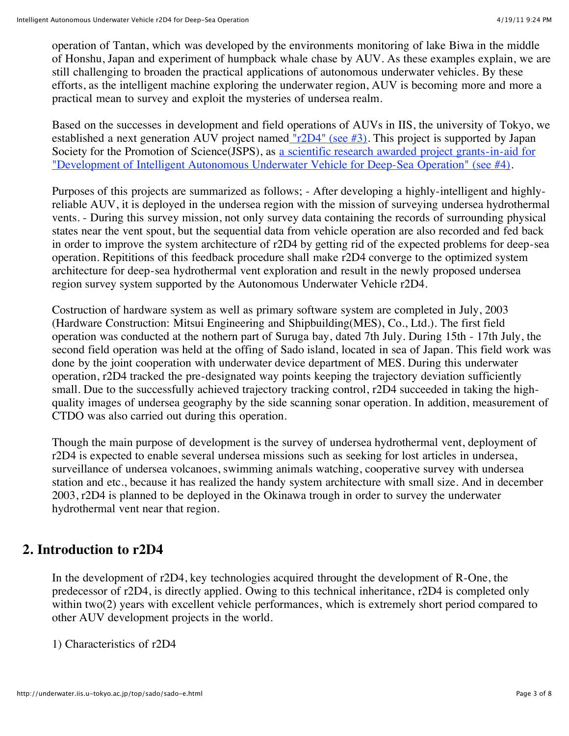operation of Tantan, which was developed by the environments monitoring of lake Biwa in the middle of Honshu, Japan and experiment of humpback whale chase by AUV. As these examples explain, we are still challenging to broaden the practical applications of autonomous underwater vehicles. By these efforts, as the intelligent machine exploring the underwater region, AUV is becoming more and more a practical mean to survey and exploit the mysteries of undersea realm.

Based on the successes in development and field operations of AUVs in IIS, the university of Tokyo, we established a next generation AUV project named " $r2D4$ " (see #3). This project is supported by Japan [Society for the Promotion of Science\(JSPS\), as a scientific research awarded project grants-in-aid for](http://underwater.iis.u-tokyo.ac.jp/top/sado/sado-e.html#ch4) "Development of Intelligent Autonomous Underwater Vehicle for Deep-Sea Operation" (see #4).

Purposes of this projects are summarized as follows; - After developing a highly-intelligent and highlyreliable AUV, it is deployed in the undersea region with the mission of surveying undersea hydrothermal vents. - During this survey mission, not only survey data containing the records of surrounding physical states near the vent spout, but the sequential data from vehicle operation are also recorded and fed back in order to improve the system architecture of r2D4 by getting rid of the expected problems for deep-sea operation. Repititions of this feedback procedure shall make r2D4 converge to the optimized system architecture for deep-sea hydrothermal vent exploration and result in the newly proposed undersea region survey system supported by the Autonomous Underwater Vehicle r2D4.

Costruction of hardware system as well as primary software system are completed in July, 2003 (Hardware Construction: Mitsui Engineering and Shipbuilding(MES), Co., Ltd.). The first field operation was conducted at the nothern part of Suruga bay, dated 7th July. During 15th - 17th July, the second field operation was held at the offing of Sado island, located in sea of Japan. This field work was done by the joint cooperation with underwater device department of MES. During this underwater operation, r2D4 tracked the pre-designated way points keeping the trajectory deviation sufficiently small. Due to the successfully achieved trajectory tracking control, r2D4 succeeded in taking the highquality images of undersea geography by the side scanning sonar operation. In addition, measurement of CTDO was also carried out during this operation.

Though the main purpose of development is the survey of undersea hydrothermal vent, deployment of r2D4 is expected to enable several undersea missions such as seeking for lost articles in undersea, surveillance of undersea volcanoes, swimming animals watching, cooperative survey with undersea station and etc., because it has realized the handy system architecture with small size. And in december 2003, r2D4 is planned to be deployed in the Okinawa trough in order to survey the underwater hydrothermal vent near that region.

#### **2. Introduction to r2D4**

In the development of r2D4, key technologies acquired throught the development of R-One, the predecessor of r2D4, is directly applied. Owing to this technical inheritance, r2D4 is completed only within two(2) years with excellent vehicle performances, which is extremely short period compared to other AUV development projects in the world.

1) Characteristics of r2D4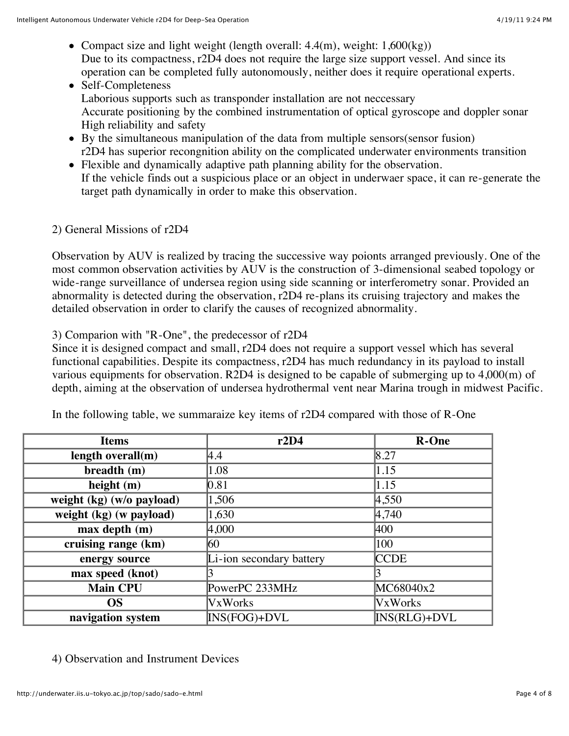- Compact size and light weight (length overall:  $4.4(m)$ , weight:  $1,600(kg)$ ) Due to its compactness, r2D4 does not require the large size support vessel. And since its operation can be completed fully autonomously, neither does it require operational experts.
- Self-Completeness Laborious supports such as transponder installation are not neccessary Accurate positioning by the combined instrumentation of optical gyroscope and doppler sonar High reliability and safety
- By the simultaneous manipulation of the data from multiple sensors(sensor fusion) r2D4 has superior recongnition ability on the complicated underwater environments transition
- Flexible and dynamically adaptive path planning ability for the observation. If the vehicle finds out a suspicious place or an object in underwaer space, it can re-generate the target path dynamically in order to make this observation.
- 2) General Missions of r2D4

Observation by AUV is realized by tracing the successive way poionts arranged previously. One of the most common observation activities by AUV is the construction of 3-dimensional seabed topology or wide-range surveillance of undersea region using side scanning or interferometry sonar. Provided an abnormality is detected during the observation, r2D4 re-plans its cruising trajectory and makes the detailed observation in order to clarify the causes of recognized abnormality.

3) Comparion with "R-One", the predecessor of r2D4

Since it is designed compact and small, r2D4 does not require a support vessel which has several functional capabilities. Despite its compactness, r2D4 has much redundancy in its payload to install various equipments for observation. R2D4 is designed to be capable of submerging up to 4,000(m) of depth, aiming at the observation of undersea hydrothermal vent near Marina trough in midwest Pacific.

| <b>Items</b>              | r2D4                     | <b>R-One</b>   |
|---------------------------|--------------------------|----------------|
| length overall(m)         | 4.4                      | 8.27           |
| breadth (m)               | 1.08                     | 1.15           |
| height $(m)$              | $\vert 0.81 \vert$       | 1.15           |
| weight (kg) (w/o payload) | 1,506                    | 4,550          |
| weight (kg) (w payload)   | 1,630                    | 4,740          |
| max depth (m)             | 4,000                    | 400            |
| cruising range (km)       | 60                       | 100            |
| energy source             | Li-ion secondary battery | <b>CCDE</b>    |
| max speed (knot)          |                          |                |
| <b>Main CPU</b>           | PowerPC 233MHz           | MC68040x2      |
| <b>OS</b>                 | <b>VxWorks</b>           | <b>VxWorks</b> |
| navigation system         | INS(FOG)+DVL             | INS(RLG)+DVL   |

In the following table, we summaraize key items of r2D4 compared with those of R-One

4) Observation and Instrument Devices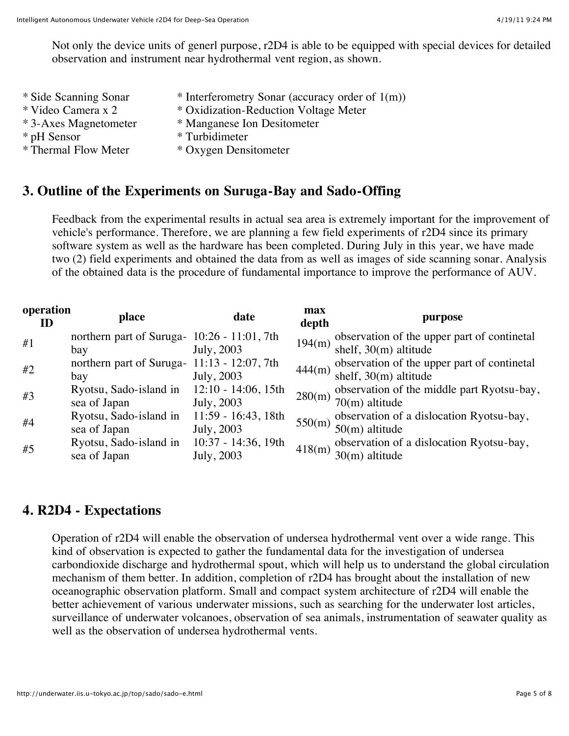Not only the device units of generl purpose, r2D4 is able to be equipped with special devices for detailed observation and instrument near hydrothermal vent region, as shown.

\* Side Scanning Sonar \* Interferometry Sonar (accuracy order of 1(m))<br>\* Video Camera x 2 \* Oxidization-Reduction Voltage Meter \* Oxidization-Reduction Voltage Meter \* 3-Axes Magnetometer \* Manganese Ion Desitometer \* pH Sensor \* Turbidimeter<br>
\* Thermal Flow Meter \* Oxvgen Dens \* Oxygen Densitometer

## **3. Outline of the Experiments on Suruga-Bay and Sado-Offing**

Feedback from the experimental results in actual sea area is extremely important for the improvement of vehicle's performance. Therefore, we are planning a few field experiments of r2D4 since its primary software system as well as the hardware has been completed. During July in this year, we have made two (2) field experiments and obtained the data from as well as images of side scanning sonar. Analysis of the obtained data is the procedure of fundamental importance to improve the performance of AUV.

| operation<br>ID | place                                              | date                                 | max<br>depth | purpose                                                                |
|-----------------|----------------------------------------------------|--------------------------------------|--------------|------------------------------------------------------------------------|
| #1              | northern part of Suruga- 10:26 - 11:01, 7th<br>bay | July, 2003                           | 194(m)       | observation of the upper part of continetal<br>shelf, $30(m)$ altitude |
| #2              | northern part of Suruga- 11:13 - 12:07, 7th<br>bay | July, 2003                           | 444(m)       | observation of the upper part of continetal<br>shelf, $30(m)$ altitude |
| #3              | Ryotsu, Sado-island in<br>sea of Japan             | $12:10 - 14:06$ , 15th<br>July, 2003 | 280(m)       | observation of the middle part Ryotsu-bay,<br>$70(m)$ altitude         |
| #4              | Ryotsu, Sado-island in<br>sea of Japan             | 11:59 - 16:43, 18th<br>July, 2003    | 550(m)       | observation of a dislocation Ryotsu-bay,<br>$50(m)$ altitude           |
| #5              | Ryotsu, Sado-island in<br>sea of Japan             | 10:37 - 14:36, 19th<br>July, 2003    | 418(m)       | observation of a dislocation Ryotsu-bay,<br>$30(m)$ altitude           |

## **4. R2D4 - Expectations**

Operation of r2D4 will enable the observation of undersea hydrothermal vent over a wide range. This kind of observation is expected to gather the fundamental data for the investigation of undersea carbondioxide discharge and hydrothermal spout, which will help us to understand the global circulation mechanism of them better. In addition, completion of r2D4 has brought about the installation of new oceanographic observation platform. Small and compact system architecture of r2D4 will enable the better achievement of various underwater missions, such as searching for the underwater lost articles, surveillance of underwater volcanoes, observation of sea animals, instrumentation of seawater quality as well as the observation of undersea hydrothermal vents.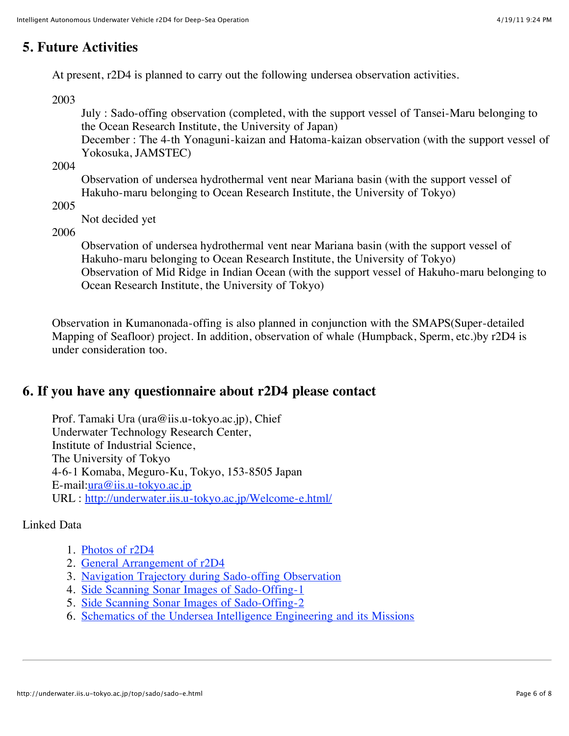## **5. Future Activities**

At present, r2D4 is planned to carry out the following undersea observation activities.

2003

July : Sado-offing observation (completed, with the support vessel of Tansei-Maru belonging to the Ocean Research Institute, the University of Japan)

December : The 4-th Yonaguni-kaizan and Hatoma-kaizan observation (with the support vessel of Yokosuka, JAMSTEC)

2004

Observation of undersea hydrothermal vent near Mariana basin (with the support vessel of Hakuho-maru belonging to Ocean Research Institute, the University of Tokyo)

2005

Not decided yet

2006

Observation of undersea hydrothermal vent near Mariana basin (with the support vessel of Hakuho-maru belonging to Ocean Research Institute, the University of Tokyo) Observation of Mid Ridge in Indian Ocean (with the support vessel of Hakuho-maru belonging to Ocean Research Institute, the University of Tokyo)

Observation in Kumanonada-offing is also planned in conjunction with the SMAPS(Super-detailed Mapping of Seafloor) project. In addition, observation of whale (Humpback, Sperm, etc.)by r2D4 is under consideration too.

#### **6. If you have any questionnaire about r2D4 please contact**

Prof. Tamaki Ura (ura@iis.u-tokyo.ac.jp), Chief Underwater Technology Research Center, Institute of Industrial Science, The University of Tokyo 4-6-1 Komaba, Meguro-Ku, Tokyo, 153-8505 Japan E-mail:[ura@iis.u-tokyo.ac.jp](mailto:ura@iis.u-tokyo.ac.jp) URL : <http://underwater.iis.u-tokyo.ac.jp/Welcome-e.html/>

#### Linked Data

- 1. [Photos of r2D4](http://underwater.iis.u-tokyo.ac.jp/top/sado/r2-1.gif)
- 2. [General Arrangement of r2D4](http://underwater.iis.u-tokyo.ac.jp/top/sado/r2-2.gif)
- 3. [Navigation Trajectory during Sado-offing Observation](http://underwater.iis.u-tokyo.ac.jp/top/sado/r2-3.gif)
- 4. [Side Scanning Sonar Images of Sado-Offing-1](http://underwater.iis.u-tokyo.ac.jp/top/sado/r2-4.jpg)
- 5. [Side Scanning Sonar Images of Sado-Offing-2](http://underwater.iis.u-tokyo.ac.jp/top/sado/r2-5.jpg)
- 6. [Schematics of the Undersea Intelligence Engineering and its Missions](http://underwater.iis.u-tokyo.ac.jp/top/sado/r2-6.jpg)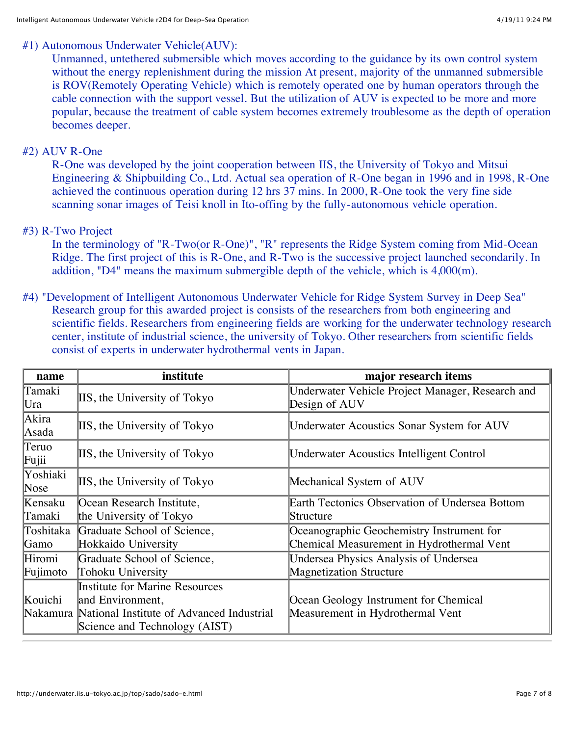#### #1) Autonomous Underwater Vehicle(AUV):

Unmanned, untethered submersible which moves according to the guidance by its own control system without the energy replenishment during the mission At present, majority of the unmanned submersible is ROV(Remotely Operating Vehicle) which is remotely operated one by human operators through the cable connection with the support vessel. But the utilization of AUV is expected to be more and more popular, because the treatment of cable system becomes extremely troublesome as the depth of operation becomes deeper.

#### #2) AUV R-One

R-One was developed by the joint cooperation between IIS, the University of Tokyo and Mitsui Engineering & Shipbuilding Co., Ltd. Actual sea operation of R-One began in 1996 and in 1998, R-One achieved the continuous operation during 12 hrs 37 mins. In 2000, R-One took the very fine side scanning sonar images of Teisi knoll in Ito-offing by the fully-autonomous vehicle operation.

#### #3) R-Two Project

In the terminology of "R-Two(or R-One)", "R" represents the Ridge System coming from Mid-Ocean Ridge. The first project of this is R-One, and R-Two is the successive project launched secondarily. In addition, "D4" means the maximum submergible depth of the vehicle, which is 4,000(m).

#4) "Development of Intelligent Autonomous Underwater Vehicle for Ridge System Survey in Deep Sea" Research group for this awarded project is consists of the researchers from both engineering and scientific fields. Researchers from engineering fields are working for the underwater technology research center, institute of industrial science, the university of Tokyo. Other researchers from scientific fields consist of experts in underwater hydrothermal vents in Japan.

| name             | institute                                          | major research items                                              |
|------------------|----------------------------------------------------|-------------------------------------------------------------------|
| Tamaki<br>Ura    | IIS, the University of Tokyo                       | Underwater Vehicle Project Manager, Research and<br>Design of AUV |
| Akira<br>Asada   | IIS, the University of Tokyo                       | <b>Underwater Acoustics Sonar System for AUV</b>                  |
| Teruo<br>Fujii   | IIS, the University of Tokyo                       | <b>Underwater Acoustics Intelligent Control</b>                   |
| Yoshiaki<br>Nose | IIS, the University of Tokyo                       | Mechanical System of AUV                                          |
| Kensaku          | Ocean Research Institute,                          | Earth Tectonics Observation of Undersea Bottom                    |
| Tamaki           | the University of Tokyo                            | Structure                                                         |
| Toshitaka        | Graduate School of Science,                        | Oceanographic Geochemistry Instrument for                         |
| Gamo             | Hokkaido University                                | Chemical Measurement in Hydrothermal Vent                         |
| Hiromi           | Graduate School of Science,                        | Undersea Physics Analysis of Undersea                             |
| Fujimoto         | Tohoku University                                  | <b>Magnetization Structure</b>                                    |
|                  | Institute for Marine Resources                     |                                                                   |
| Kouichi          | and Environment,                                   | Ocean Geology Instrument for Chemical                             |
|                  | Nakamura National Institute of Advanced Industrial | Measurement in Hydrothermal Vent                                  |
|                  | Science and Technology (AIST)                      |                                                                   |